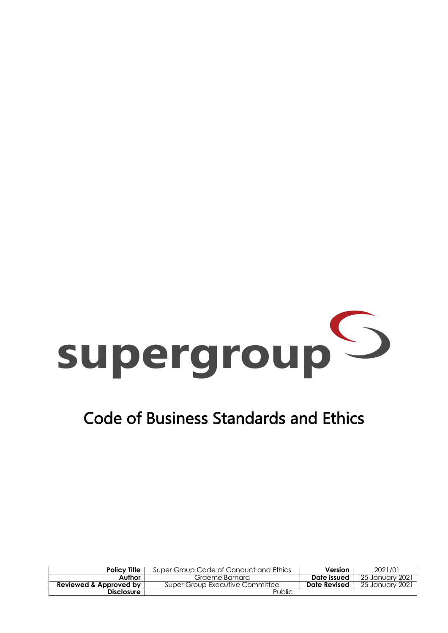

# Code of Business Standards and Ethics

| <b>Policy Title</b>    | Super Group Code of Conduct and Ethics | Version      | 2021/01          |
|------------------------|----------------------------------------|--------------|------------------|
| Author                 | Graeme Barnard                         | Date issued  | -25 January 2021 |
| Reviewed & Approved by | Super Group Executive Committee        | Date Revised | 25 January 2021  |
| <b>Disclosure</b>      | Public                                 |              |                  |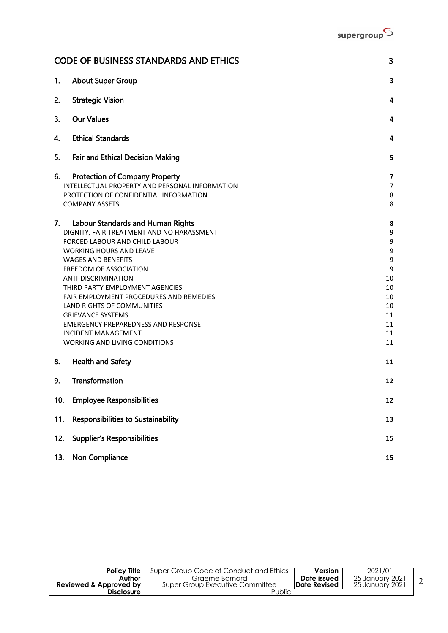|     | <b>CODE OF BUSINESS STANDARDS AND ETHICS</b>                                                                                                                                                                                                                                                                                                                                                                                                                                                 | 3                                                                          |
|-----|----------------------------------------------------------------------------------------------------------------------------------------------------------------------------------------------------------------------------------------------------------------------------------------------------------------------------------------------------------------------------------------------------------------------------------------------------------------------------------------------|----------------------------------------------------------------------------|
| 1.  | <b>About Super Group</b>                                                                                                                                                                                                                                                                                                                                                                                                                                                                     | 3                                                                          |
| 2.  | <b>Strategic Vision</b>                                                                                                                                                                                                                                                                                                                                                                                                                                                                      | 4                                                                          |
| 3.  | <b>Our Values</b>                                                                                                                                                                                                                                                                                                                                                                                                                                                                            | 4                                                                          |
| 4.  | <b>Ethical Standards</b>                                                                                                                                                                                                                                                                                                                                                                                                                                                                     | 4                                                                          |
| 5.  | <b>Fair and Ethical Decision Making</b>                                                                                                                                                                                                                                                                                                                                                                                                                                                      | 5                                                                          |
| 6.  | <b>Protection of Company Property</b><br>INTELLECTUAL PROPERTY AND PERSONAL INFORMATION<br>PROTECTION OF CONFIDENTIAL INFORMATION<br><b>COMPANY ASSETS</b>                                                                                                                                                                                                                                                                                                                                   | $\overline{\mathbf{z}}$<br>7<br>8<br>8                                     |
| 7.  | Labour Standards and Human Rights<br>DIGNITY, FAIR TREATMENT AND NO HARASSMENT<br>FORCED LABOUR AND CHILD LABOUR<br><b>WORKING HOURS AND LEAVE</b><br><b>WAGES AND BENEFITS</b><br>FREEDOM OF ASSOCIATION<br>ANTI-DISCRIMINATION<br>THIRD PARTY EMPLOYMENT AGENCIES<br>FAIR EMPLOYMENT PROCEDURES AND REMEDIES<br>LAND RIGHTS OF COMMUNITIES<br><b>GRIEVANCE SYSTEMS</b><br><b>EMERGENCY PREPAREDNESS AND RESPONSE</b><br><b>INCIDENT MANAGEMENT</b><br><b>WORKING AND LIVING CONDITIONS</b> | 8<br>9<br>9<br>9<br>9<br>9<br>10<br>10<br>10<br>10<br>11<br>11<br>11<br>11 |
| 8.  | <b>Health and Safety</b>                                                                                                                                                                                                                                                                                                                                                                                                                                                                     | 11                                                                         |
| 9.  | Transformation                                                                                                                                                                                                                                                                                                                                                                                                                                                                               | 12                                                                         |
| 10. | <b>Employee Responsibilities</b>                                                                                                                                                                                                                                                                                                                                                                                                                                                             | 12                                                                         |
| 11. | <b>Responsibilities to Sustainability</b>                                                                                                                                                                                                                                                                                                                                                                                                                                                    | 13                                                                         |
| 12. | <b>Supplier's Responsibilities</b>                                                                                                                                                                                                                                                                                                                                                                                                                                                           | 15                                                                         |
| 13. | Non Compliance                                                                                                                                                                                                                                                                                                                                                                                                                                                                               | 15                                                                         |

| Policv Title           | Super Group Code of Conduct and Ethics | Version              | 2021/01              |  |
|------------------------|----------------------------------------|----------------------|----------------------|--|
| Author                 | Graeme Barnard                         | Date issued          | 25 January 2021      |  |
| Reviewed & Approved by | Super Group Executive Committee        | <b>IDate Revised</b> | 2021<br>25 Januarv : |  |
| <b>Disclosure</b>      | Public                                 |                      |                      |  |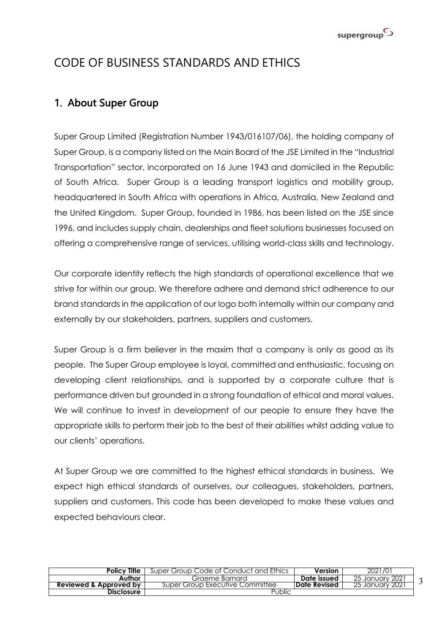

## CODE OF BUSINESS STANDARDS AND ETHICS

### 1. About Super Group

Super Group Limited (Registration Number 1943/016107/06), the holding company of Super Group, is a company listed on the Main Board of the JSE Limited in the "Industrial Transportation" sector, incorporated on 16 June 1943 and domiciled in the Republic of South Africa. Super Group is a leading transport logistics and mobility group, headquartered in South Africa with operations in Africa, Australia, New Zealand and the United Kingdom. Super Group, founded in 1986, has been listed on the JSE since 1996, and includes supply chain, dealerships and fleet solutions businesses focused on offering a comprehensive range of services, utilising world-class skills and technology.

Our corporate identity reflects the high standards of operational excellence that we strive for within our group. We therefore adhere and demand strict adherence to our brand standards in the application of our logo both internally within our company and externally by our stakeholders, partners, suppliers and customers.

Super Group is a firm believer in the maxim that a company is only as good as its people. The Super Group employee is loyal, committed and enthusiastic, focusing on developing client relationships, and is supported by a corporate culture that is performance driven but grounded in a strong foundation of ethical and moral values. We will continue to invest in development of our people to ensure they have the appropriate skills to perform their job to the best of their abilities whilst adding value to our clients' operations.

At Super Group we are committed to the highest ethical standards in business. We expect high ethical standards of ourselves, our colleagues, stakeholders, partners, suppliers and customers. This code has been developed to make these values and expected behaviours clear.

| <b>Policy Title</b>    | Super Group Code of Conduct and Ethics | Version              | 2021/01            |  |
|------------------------|----------------------------------------|----------------------|--------------------|--|
| Author                 | Graeme Barnard                         | Date issued          | 25 January 2021    |  |
| Reviewed & Approved by | Super Group Executive Committee        | <b>IDate Revised</b> | 2021<br>25 January |  |
| <b>Disclosure</b>      | Public                                 |                      |                    |  |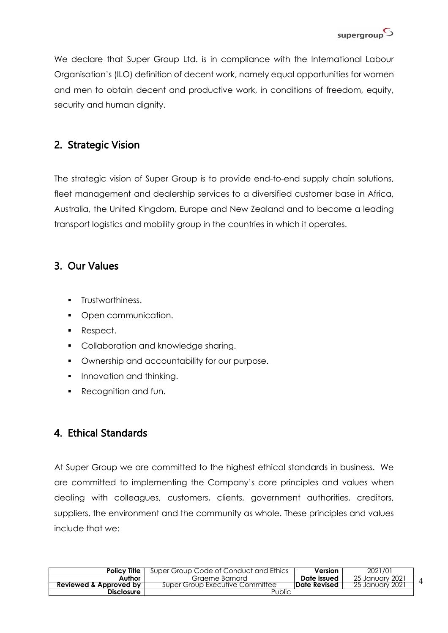

We declare that Super Group Ltd. is in compliance with the International Labour Organisation's (ILO) definition of decent work, namely equal opportunities for women and men to obtain decent and productive work, in conditions of freedom, equity, security and human dignity.

### 2. Strategic Vision

The strategic vision of Super Group is to provide end-to-end supply chain solutions, fleet management and dealership services to a diversified customer base in Africa, Australia, the United Kingdom, Europe and New Zealand and to become a leading transport logistics and mobility group in the countries in which it operates.

### 3. Our Values

- **•** Trustworthiness.
- Open communication.
- Respect.
- **Collaboration and knowledge sharing.**
- **Ownership and accountability for our purpose.**
- **•** Innovation and thinking.
- Recognition and fun.

### 4. Ethical Standards

At Super Group we are committed to the highest ethical standards in business. We are committed to implementing the Company's core principles and values when dealing with colleagues, customers, clients, government authorities, creditors, suppliers, the environment and the community as whole. These principles and values include that we:

| <b>Policy Title</b>    | Super Group Code of Conduct and Ethics | Version              | 2021/01                |
|------------------------|----------------------------------------|----------------------|------------------------|
| Author                 | Graeme Barnard                         | Date issued          | 25 January 2021        |
| Reviewed & Approved by | Super Group Executive Committee        | <b>IDate Revised</b> | <u>25 January 2021</u> |
| <b>Disclosure</b>      | Public                                 |                      |                        |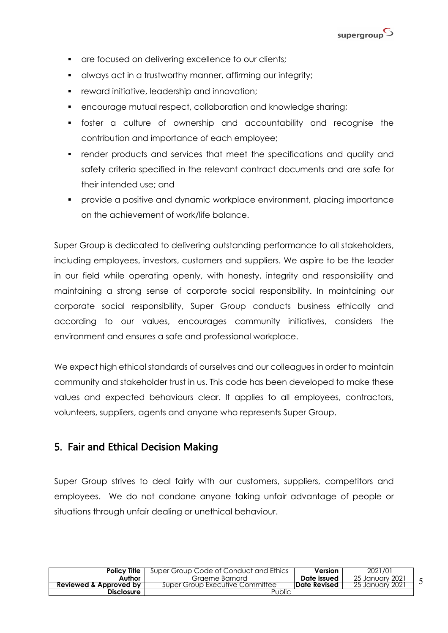

- are focused on delivering excellence to our clients;
- **•** always act in a trustworthy manner, affirming our integrity;
- **•** reward initiative, leadership and innovation;
- **encourage mutual respect, collaboration and knowledge sharing;**
- § foster a culture of ownership and accountability and recognise the contribution and importance of each employee;
- render products and services that meet the specifications and quality and safety criteria specified in the relevant contract documents and are safe for their intended use; and
- provide a positive and dynamic workplace environment, placing importance on the achievement of work/life balance.

Super Group is dedicated to delivering outstanding performance to all stakeholders, including employees, investors, customers and suppliers. We aspire to be the leader in our field while operating openly, with honesty, integrity and responsibility and maintaining a strong sense of corporate social responsibility. In maintaining our corporate social responsibility, Super Group conducts business ethically and according to our values, encourages community initiatives, considers the environment and ensures a safe and professional workplace.

We expect high ethical standards of ourselves and our colleagues in order to maintain community and stakeholder trust in us. This code has been developed to make these values and expected behaviours clear. It applies to all employees, contractors, volunteers, suppliers, agents and anyone who represents Super Group.

### 5. Fair and Ethical Decision Making

Super Group strives to deal fairly with our customers, suppliers, competitors and employees. We do not condone anyone taking unfair advantage of people or situations through unfair dealing or unethical behaviour.

| Policv Title           | Super Group Code of Conduct and Ethics | <b>Version</b>       | 2021/01                |
|------------------------|----------------------------------------|----------------------|------------------------|
| Author                 | Graeme Barnard                         | Date issued          | -25 January 2021       |
| Reviewed & Approved by | Super Group Executive Committee        | <b>IDate Revised</b> | <u>25 January 2021</u> |
| <b>Disclosure</b>      | Public                                 |                      |                        |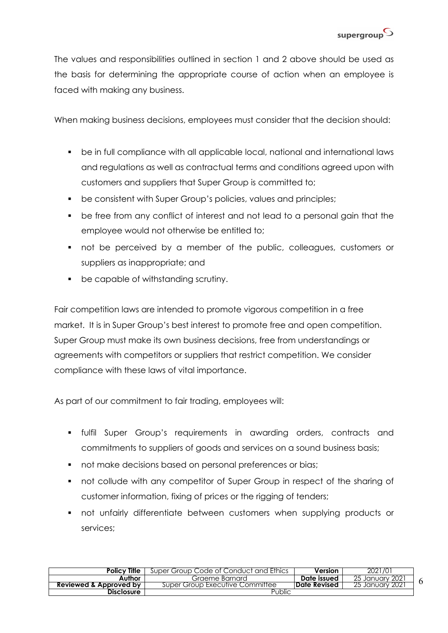

The values and responsibilities outlined in section 1 and 2 above should be used as the basis for determining the appropriate course of action when an employee is faced with making any business.

When making business decisions, employees must consider that the decision should:

- be in full compliance with all applicable local, national and international laws and regulations as well as contractual terms and conditions agreed upon with customers and suppliers that Super Group is committed to;
- be consistent with Super Group's policies, values and principles;
- be free from any conflict of interest and not lead to a personal gain that the employee would not otherwise be entitled to;
- § not be perceived by a member of the public, colleagues, customers or suppliers as inappropriate; and
- be capable of withstanding scrutiny.

Fair competition laws are intended to promote vigorous competition in a free market. It is in Super Group's best interest to promote free and open competition. Super Group must make its own business decisions, free from understandings or agreements with competitors or suppliers that restrict competition. We consider compliance with these laws of vital importance.

As part of our commitment to fair trading, employees will:

- § fulfil Super Group's requirements in awarding orders, contracts and commitments to suppliers of goods and services on a sound business basis;
- not make decisions based on personal preferences or bias;
- not collude with any competitor of Super Group in respect of the sharing of customer information, fixing of prices or the rigging of tenders;
- not unfairly differentiate between customers when supplying products or services;

| <b>Policy Title</b>    | Super Group Code of Conduct and Ethics | Version              | 2021/01            |  |
|------------------------|----------------------------------------|----------------------|--------------------|--|
| Author                 | Graeme Barnard                         | Date issued          | 25 January 2021    |  |
| Reviewed & Approved by | Super Group Executive Committee        | <b>IDate Revised</b> | 2021<br>25 January |  |
| <b>Disclosure</b>      | Public                                 |                      |                    |  |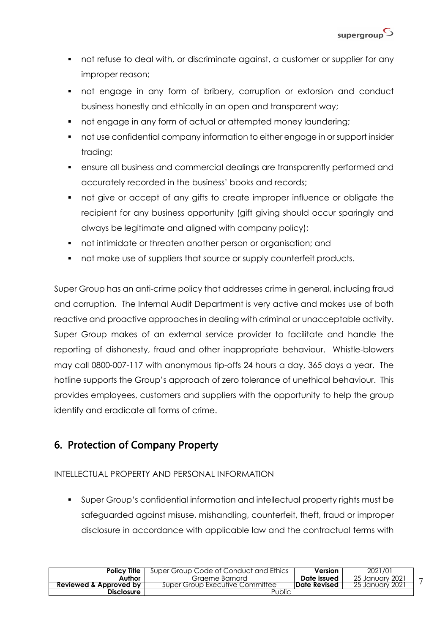- not refuse to deal with, or discriminate against, a customer or supplier for any improper reason;
- not engage in any form of bribery, corruption or extorsion and conduct business honestly and ethically in an open and transparent way;
- not engage in any form of actual or attempted money laundering;
- § not use confidential company information to either engage in or support insider trading;
- **•** ensure all business and commercial dealings are transparently performed and accurately recorded in the business' books and records;
- not give or accept of any gifts to create improper influence or obligate the recipient for any business opportunity (gift giving should occur sparingly and always be legitimate and aligned with company policy);
- not intimidate or threaten another person or organisation; and
- not make use of suppliers that source or supply counterfeit products.

Super Group has an anti-crime policy that addresses crime in general, including fraud and corruption. The Internal Audit Department is very active and makes use of both reactive and proactive approaches in dealing with criminal or unacceptable activity. Super Group makes of an external service provider to facilitate and handle the reporting of dishonesty, fraud and other inappropriate behaviour. Whistle-blowers may call 0800-007-117 with anonymous tip-offs 24 hours a day, 365 days a year. The hotline supports the Group's approach of zero tolerance of unethical behaviour. This provides employees, customers and suppliers with the opportunity to help the group identify and eradicate all forms of crime.

### 6. Protection of Company Property

#### INTELLECTUAL PROPERTY AND PERSONAL INFORMATION

§ Super Group's confidential information and intellectual property rights must be safeguarded against misuse, mishandling, counterfeit, theft, fraud or improper disclosure in accordance with applicable law and the contractual terms with

| <b>Policy Title</b>    | Super Group Code of Conduct and Ethics | Version      | 2021/01                |
|------------------------|----------------------------------------|--------------|------------------------|
| Author                 | Graeme Barnard                         | Date issued  | 25 January 2021        |
| Reviewed & Approved by | Super Group Executive Committee        | Date Revised | <u>25 January 2021</u> |
| <b>Disclosure</b>      | Public                                 |              |                        |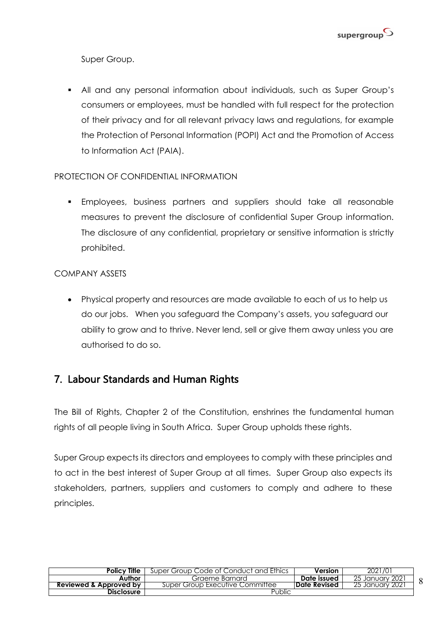

Super Group.

§ All and any personal information about individuals, such as Super Group's consumers or employees, must be handled with full respect for the protection of their privacy and for all relevant privacy laws and regulations, for example the Protection of Personal Information (POPI) Act and the Promotion of Access to Information Act (PAIA).

#### PROTECTION OF CONFIDENTIAL INFORMATION

§ Employees, business partners and suppliers should take all reasonable measures to prevent the disclosure of confidential Super Group information. The disclosure of any confidential, proprietary or sensitive information is strictly prohibited.

#### COMPANY ASSETS

• Physical property and resources are made available to each of us to help us do our jobs. When you safeguard the Company's assets, you safeguard our ability to grow and to thrive. Never lend, sell or give them away unless you are authorised to do so.

### 7. Labour Standards and Human Rights

The Bill of Rights, Chapter 2 of the Constitution, enshrines the fundamental human rights of all people living in South Africa. Super Group upholds these rights.

Super Group expects its directors and employees to comply with these principles and to act in the best interest of Super Group at all times. Super Group also expects its stakeholders, partners, suppliers and customers to comply and adhere to these principles.

| Policy Title             | Super Group Code of Conduct and Ethics | Version              | 2021/01                |
|--------------------------|----------------------------------------|----------------------|------------------------|
| Author                   | Graeme Barnard                         | Date issued          | 25 January 2021        |
| Reviewed & Approved by 1 | Super Group Executive Committee        | <b>IDate Revised</b> | <u>25 January 2021</u> |
| <b>Disclosure</b>        | Public                                 |                      |                        |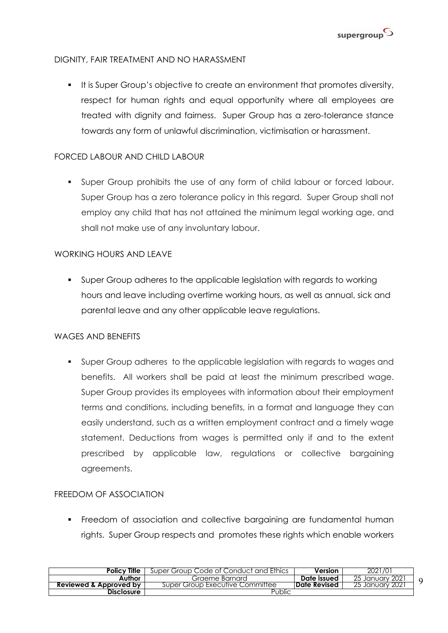

#### DIGNITY, FAIR TREATMENT AND NO HARASSMENT

■ It is Super Group's objective to create an environment that promotes diversity, respect for human rights and equal opportunity where all employees are treated with dignity and fairness. Super Group has a zero-tolerance stance towards any form of unlawful discrimination, victimisation or harassment.

#### FORCED LABOUR AND CHILD LABOUR

§ Super Group prohibits the use of any form of child labour or forced labour. Super Group has a zero tolerance policy in this regard. Super Group shall not employ any child that has not attained the minimum legal working age, and shall not make use of any involuntary labour.

#### WORKING HOURS AND LEAVE

§ Super Group adheres to the applicable legislation with regards to working hours and leave including overtime working hours, as well as annual, sick and parental leave and any other applicable leave regulations.

#### WAGES AND BENEFITS

§ Super Group adheres to the applicable legislation with regards to wages and benefits. All workers shall be paid at least the minimum prescribed wage. Super Group provides its employees with information about their employment terms and conditions, including benefits, in a format and language they can easily understand, such as a written employment contract and a timely wage statement. Deductions from wages is permitted only if and to the extent prescribed by applicable law, regulations or collective bargaining agreements.

#### FREEDOM OF ASSOCIATION

• Freedom of association and collective bargaining are fundamental human rights. Super Group respects and promotes these rights which enable workers

| <b>Policy Title</b>    | Super Group Code of Conduct and Ethics | Version              | 2021/01                   |  |
|------------------------|----------------------------------------|----------------------|---------------------------|--|
| Author                 | Graeme Barnard                         | Date issued          | 25 January 2021           |  |
| Reviewed & Approved by | Super Group Executive Committee        | <b>IDate Revised</b> | <b>2021</b><br>25 January |  |
| <b>Disclosure</b>      | Public                                 |                      |                           |  |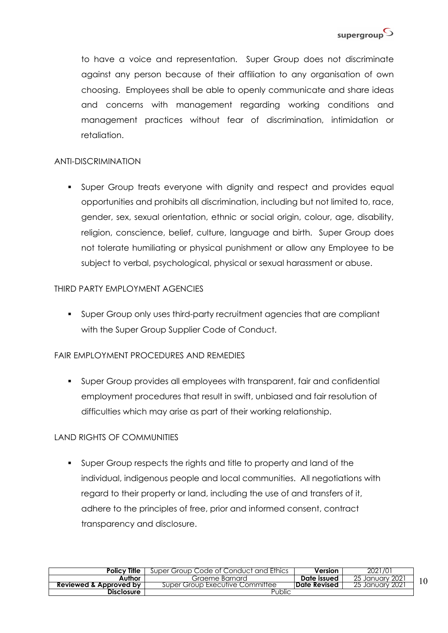

to have a voice and representation. Super Group does not discriminate against any person because of their affiliation to any organisation of own choosing. Employees shall be able to openly communicate and share ideas and concerns with management regarding working conditions and management practices without fear of discrimination, intimidation or retaliation.

#### ANTI-DISCRIMINATION

§ Super Group treats everyone with dignity and respect and provides equal opportunities and prohibits all discrimination, including but not limited to, race, gender, sex, sexual orientation, ethnic or social origin, colour, age, disability, religion, conscience, belief, culture, language and birth. Super Group does not tolerate humiliating or physical punishment or allow any Employee to be subject to verbal, psychological, physical or sexual harassment or abuse.

#### THIRD PARTY FMPI OYMENT AGENCIES

§ Super Group only uses third-party recruitment agencies that are compliant with the Super Group Supplier Code of Conduct.

#### FAIR EMPLOYMENT PROCEDURES AND REMEDIES

§ Super Group provides all employees with transparent, fair and confidential employment procedures that result in swift, unbiased and fair resolution of difficulties which may arise as part of their working relationship.

#### LAND RIGHTS OF COMMUNITIES

§ Super Group respects the rights and title to property and land of the individual, indigenous people and local communities. All negotiations with regard to their property or land, including the use of and transfers of it, adhere to the principles of free, prior and informed consent, contract transparency and disclosure.

| <b>Policy Title</b>    | Super Group Code of Conduct and Ethics | Version      | 2021/01            |  |
|------------------------|----------------------------------------|--------------|--------------------|--|
| Author                 | Graeme Barnard                         | Date issued  | January 2021<br>25 |  |
| Reviewed & Approved by | Super Group Executive Committee        | Date Revised | 202<br>January     |  |
| <b>Disclosure</b>      | Public                                 |              |                    |  |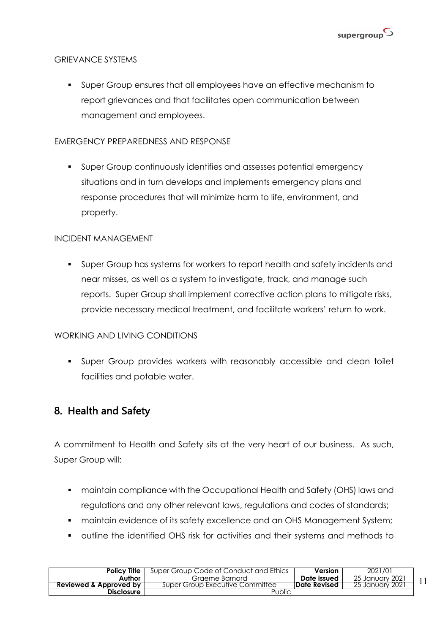

#### GRIEVANCE SYSTEMS

§ Super Group ensures that all employees have an effective mechanism to report grievances and that facilitates open communication between management and employees.

#### EMERGENCY PREPAREDNESS AND RESPONSE

§ Super Group continuously identifies and assesses potential emergency situations and in turn develops and implements emergency plans and response procedures that will minimize harm to life, environment, and property.

#### INCIDENT MANAGEMENT

§ Super Group has systems for workers to report health and safety incidents and near misses, as well as a system to investigate, track, and manage such reports. Super Group shall implement corrective action plans to mitigate risks, provide necessary medical treatment, and facilitate workers' return to work.

#### WORKING AND LIVING CONDITIONS

§ Super Group provides workers with reasonably accessible and clean toilet facilities and potable water.

### 8. Health and Safety

A commitment to Health and Safety sits at the very heart of our business. As such, Super Group will:

- **maintain compliance with the Occupational Health and Safety (OHS) laws and** regulations and any other relevant laws, regulations and codes of standards;
- **maintain evidence of its safety excellence and an OHS Management System;**
- § outline the identified OHS risk for activities and their systems and methods to

| <b>Policy Title</b>    | Super Group Code of Conduct and Ethics | Version              | 2021/01                |  |
|------------------------|----------------------------------------|----------------------|------------------------|--|
| Author                 | Graeme Barnard                         | Date issued          | 25 January 2021        |  |
| Reviewed & Approved by | Super Group Executive Committee        | <b>IDate Revised</b> | <u>25 January 2021</u> |  |
| <b>Disclosure</b>      | Public                                 |                      |                        |  |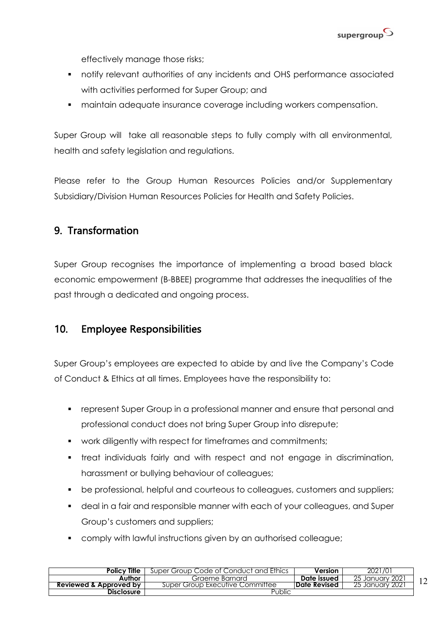

effectively manage those risks;

- § notify relevant authorities of any incidents and OHS performance associated with activities performed for Super Group; and
- § maintain adequate insurance coverage including workers compensation.

Super Group will take all reasonable steps to fully comply with all environmental, health and safety legislation and regulations.

Please refer to the Group Human Resources Policies and/or Supplementary Subsidiary/Division Human Resources Policies for Health and Safety Policies.

### 9. Transformation

Super Group recognises the importance of implementing a broad based black economic empowerment (B-BBEE) programme that addresses the inequalities of the past through a dedicated and ongoing process.

### 10. Employee Responsibilities

Super Group's employees are expected to abide by and live the Company's Code of Conduct & Ethics at all times. Employees have the responsibility to:

- § represent Super Group in a professional manner and ensure that personal and professional conduct does not bring Super Group into disrepute;
- work diligently with respect for timeframes and commitments;
- treat individuals fairly and with respect and not engage in discrimination, harassment or bullying behaviour of colleagues;
- be professional, helpful and courteous to colleagues, customers and suppliers;
- § deal in a fair and responsible manner with each of your colleagues, and Super Group's customers and suppliers;
- **•** comply with lawful instructions given by an authorised colleague;

| <b>Policy Title</b>    | Super Group Code of Conduct and Ethics | Version      | 2021/01                |  |
|------------------------|----------------------------------------|--------------|------------------------|--|
| Author                 | Graeme Barnard                         | Date issued  | 25 January 2021        |  |
| Reviewed & Approved by | Super Group Executive Committee        | Date Revised | <u>25 January 2021</u> |  |
| <b>Disclosure</b>      | Public                                 |              |                        |  |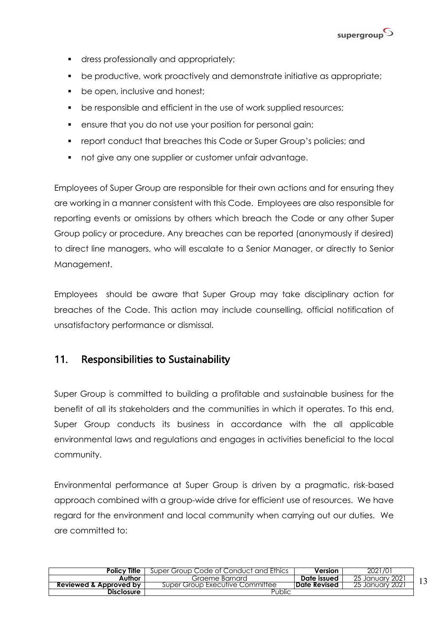

- **•** dress professionally and appropriately;
- be productive, work proactively and demonstrate initiative as appropriate;
- be open, inclusive and honest;
- be responsible and efficient in the use of work supplied resources;
- ensure that you do not use your position for personal gain;
- report conduct that breaches this Code or Super Group's policies; and
- not give any one supplier or customer unfair advantage.

Employees of Super Group are responsible for their own actions and for ensuring they are working in a manner consistent with this Code. Employees are also responsible for reporting events or omissions by others which breach the Code or any other Super Group policy or procedure. Any breaches can be reported (anonymously if desired) to direct line managers, who will escalate to a Senior Manager, or directly to Senior Management.

Employees should be aware that Super Group may take disciplinary action for breaches of the Code. This action may include counselling, official notification of unsatisfactory performance or dismissal.

### 11. Responsibilities to Sustainability

Super Group is committed to building a profitable and sustainable business for the benefit of all its stakeholders and the communities in which it operates. To this end, Super Group conducts its business in accordance with the all applicable environmental laws and regulations and engages in activities beneficial to the local community.

Environmental performance at Super Group is driven by a pragmatic, risk-based approach combined with a group-wide drive for efficient use of resources. We have regard for the environment and local community when carrying out our duties. We are committed to:

| <b>Policy Title</b>    | Super Group Code of Conduct and Ethics | Version              | 2021/01            |  |
|------------------------|----------------------------------------|----------------------|--------------------|--|
| Author                 | Graeme Barnard                         | Date issued          | 25 January 2021    |  |
| Reviewed & Approved by | Super Group Executive Committee        | <b>IDate Revised</b> | Tanuary 2021<br>25 |  |
| Disclosure             | Public                                 |                      |                    |  |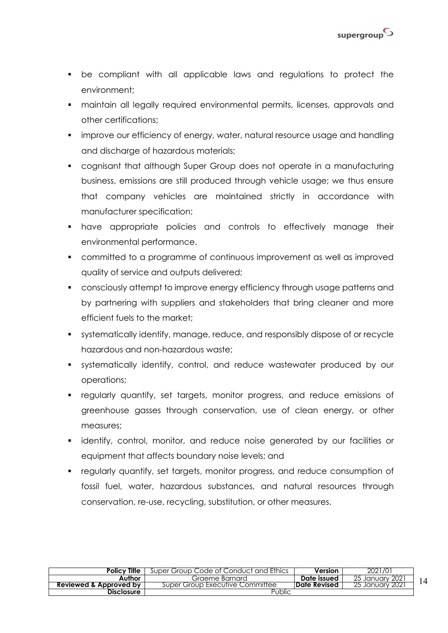

- § be compliant with all applicable laws and regulations to protect the environment;
- **•** maintain all legally required environmental permits, licenses, approvals and other certifications;
- improve our efficiency of energy, water, natural resource usage and handling and discharge of hazardous materials;
- cognisant that although Super Group does not operate in a manufacturing business, emissions are still produced through vehicle usage; we thus ensure that company vehicles are maintained strictly in accordance with manufacturer specification;
- § have appropriate policies and controls to effectively manage their environmental performance.
- committed to a programme of continuous improvement as well as improved quality of service and outputs delivered;
- consciously attempt to improve energy efficiency through usage patterns and by partnering with suppliers and stakeholders that bring cleaner and more efficient fuels to the market;
- § systematically identify, manage, reduce, and responsibly dispose of or recycle hazardous and non-hazardous waste;
- § systematically identify, control, and reduce wastewater produced by our operations;
- § regularly quantify, set targets, monitor progress, and reduce emissions of greenhouse gasses through conservation, use of clean energy, or other measures;
- § identify, control, monitor, and reduce noise generated by our facilities or equipment that affects boundary noise levels; and
- § regularly quantify, set targets, monitor progress, and reduce consumption of fossil fuel, water, hazardous substances, and natural resources through conservation, re-use, recycling, substitution, or other measures.

| <b>Policy Title</b>    | Super Group Code of Conduct and Ethics | Version              | 2021/01                |  |
|------------------------|----------------------------------------|----------------------|------------------------|--|
| Author                 | Graeme Barnard                         | Date issued          | 25 January 2021        |  |
| Reviewed & Approved by | Super Group Executive Committee        | <b>IDate Revised</b> | <u>25 January 2021</u> |  |
| <b>Disclosure</b>      | Public                                 |                      |                        |  |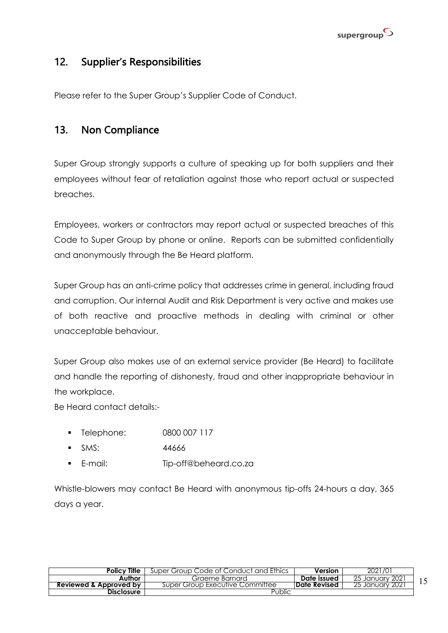

### 12. Supplier's Responsibilities

Please refer to the Super Group's Supplier Code of Conduct.

### 13. Non Compliance

Super Group strongly supports a culture of speaking up for both suppliers and their employees without fear of retaliation against those who report actual or suspected breaches.

Employees, workers or contractors may report actual or suspected breaches of this Code to Super Group by phone or online. Reports can be submitted confidentially and anonymously through the Be Heard platform.

Super Group has an anti-crime policy that addresses crime in general, including fraud and corruption. Our internal Audit and Risk Department is very active and makes use of both reactive and proactive methods in dealing with criminal or other unacceptable behaviour.

Super Group also makes use of an external service provider (Be Heard) to facilitate and handle the reporting of dishonesty, fraud and other inappropriate behaviour in the workplace.

Be Heard contact details:-

- § Telephone: 0800 007 117
- § SMS: 44666
- § E-mail: Tip-off@beheard.co.za

Whistle-blowers may contact Be Heard with anonymous tip-offs 24-hours a day, 365 days a year.

| <b>Policy Title</b>               | Super Group Code of Conduct and Ethics | Version              | 2021/01         |  |
|-----------------------------------|----------------------------------------|----------------------|-----------------|--|
| Author                            | Graeme Barnard                         | Date issued          | 25 January 2021 |  |
| <b>Reviewed &amp; Approved by</b> | Super Group Executive Committee        | <b>IDate Revised</b> | 25 January 2021 |  |
| Disclosure                        | Public                                 |                      |                 |  |